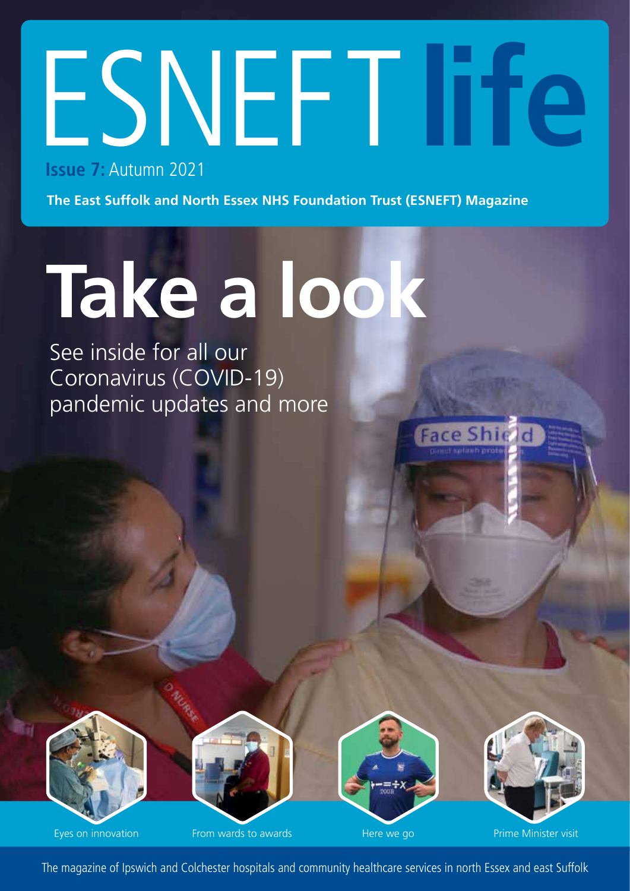# ESNEFT**life Issue 7:** Autumn 2021

**The East Suffolk and North Essex NHS Foundation Trust (ESNEFT) Magazine**

# **Take a look**

See inside for all our Coronavirus (COVID-19) pandemic updates and more



Eyes on innovation From wards to awards According Marine We go Prime Minister visit



**Face Shie** 

The magazine of Ipswich and Colchester hospitals and community healthcare services in north Essex and east Suffolk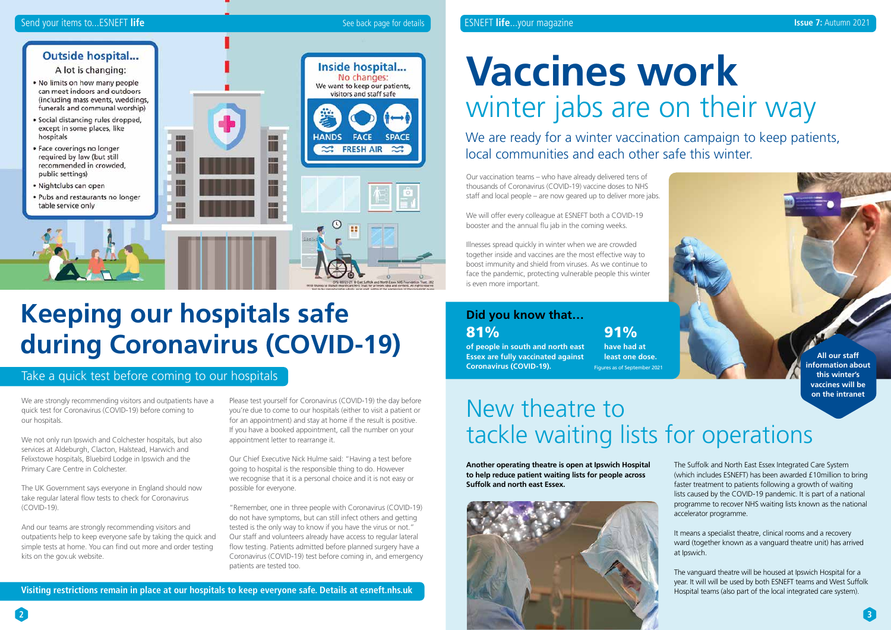#### Send your items to...ESNEFT life **Secure 1997 See back page for details See back page for details See back page for details SESNEFT life...your magazine See Dack page for details and the set of the set of the set of the se**

#### **Outside hospital...**

A lot is changing:

- . No limits on how many people can meet indoors and outdoors (including mass events, weddings, funerals and communal worship)
- · Social distancing rules dropped, except in some places, like hospitals
- · Face coverings no longer required by law (but still recommended in crowded, public settings)
- · Nightclubs can open
- · Pubs and restaurants no longer table service only



**2**

We are strongly recommending visitors and outpatients have a quick test for Coronavirus (COVID-19) before coming to our hospitals.

We not only run Ipswich and Colchester hospitals, but also services at Aldeburgh, Clacton, Halstead, Harwich and Felixstowe hospitals, Bluebird Lodge in Ipswich and the Primary Care Centre in Colchester.

The UK Government says everyone in England should now take regular lateral flow tests to check for Coronavirus (COVID-19).

And our teams are strongly recommending visitors and outpatients help to keep everyone safe by taking the quick and simple tests at home. You can find out more and order testing kits on the gov.uk website.

Please test yourself for Coronavirus (COVID-19) the day before you're due to come to our hospitals (either to visit a patient or for an appointment) and stay at home if the result is positive. If you have a booked appointment, call the number on your appointment letter to rearrange it.

Our Chief Executive Nick Hulme said: "Having a test before going to hospital is the responsible thing to do. However we recognise that it is a personal choice and it is not easy or possible for everyone.

"Remember, one in three people with Coronavirus (COVID-19) do not have symptoms, but can still infect others and getting tested is the only way to know if you have the virus or not." Our staff and volunteers already have access to regular lateral flow testing. Patients admitted before planned surgery have a Coronavirus (COVID-19) test before coming in, and emergency patients are tested too.

#### We are ready for a winter vaccination campaign to keep patients, local communities and each other safe this winter.

# **Vaccines work**  winter jabs are on their way

Our vaccination teams – who have already delivered tens of thousands of Coronavirus (COVID-19) vaccine doses to NHS staff and local people – are now geared up to deliver more jabs.

We will offer every colleague at ESNEFT both a COVID-19 booster and the annual flu jab in the coming weeks.

Illnesses spread quickly in winter when we are crowded together inside and vaccines are the most effective way to boost immunity and shield from viruses. As we continue to face the pandemic, protecting vulnerable people this winter is even more important.

**Another operating theatre is open at Ipswich Hospital to help reduce patient waiting lists for people across Suffolk and north east Essex.**



The Suffolk and North East Essex Integrated Care System (which includes ESNEFT) has been awarded £10million to bring faster treatment to patients following a growth of waiting lists caused by the COVID-19 pandemic. It is part of a national programme to recover NHS waiting lists known as the national accelerator programme.

It means a specialist theatre, clinical rooms and a recovery ward (together known as a vanguard theatre unit) has arrived at Ipswich.

The vanguard theatre will be housed at Ipswich Hospital for a year. It will will be used by both ESNEFT teams and West Suffolk Hospital teams (also part of the local integrated care system).

## **Keeping our hospitals safe during Coronavirus (COVID-19)**

**Visiting restrictions remain in place at our hospitals to keep everyone safe. Details at esneft.nhs.uk** 

#### Take a quick test before coming to our hospitals



#### **Did you know that…** 81%

**of people in south and north east Essex are fully vaccinated against Coronavirus (COVID-19).** 

91% **have had at least one dose.** Figures as of September 2021

## New theatre to tackle waiting lists for operations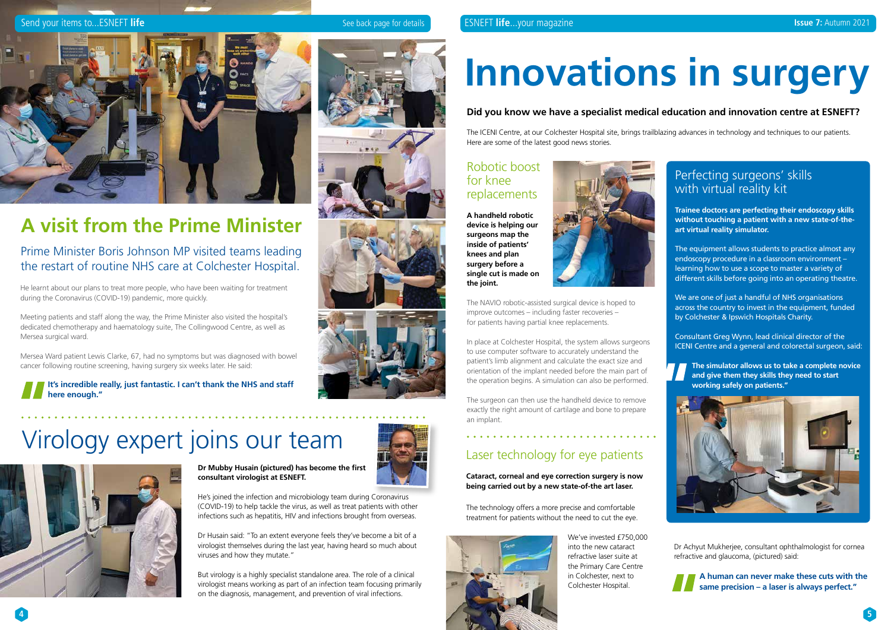

**Dr Mubby Husain (pictured) has become the first consultant virologist at ESNEFT.** 

He's joined the infection and microbiology team during Coronavirus (COVID-19) to help tackle the virus, as well as treat patients with other infections such as hepatitis, HIV and infections brought from overseas.

Dr Husain said: "To an extent everyone feels they've become a bit of a virologist themselves during the last year, having heard so much about viruses and how they mutate."

But virology is a highly specialist standalone area. The role of a clinical virologist means working as part of an infection team focusing primarily on the diagnosis, management, and prevention of viral infections.

He learnt about our plans to treat more people, who have been waiting for treatment during the Coronavirus (COVID-19) pandemic, more quickly.

Meeting patients and staff along the way, the Prime Minister also visited the hospital's dedicated chemotherapy and haematology suite, The Collingwood Centre, as well as Mersea surgical ward.

Mersea Ward patient Lewis Clarke, 67, had no symptoms but was diagnosed with bowel cancer following routine screening, having surgery six weeks later. He said:

**It's incredible really, just fantastic. I can't thank the NHS and staff here enough."**

#### Send your items to...ESNEFT life See back page for details See back page for details **ESNEFT life**...your magazine



## **A visit from the Prime Minister**

#### Prime Minister Boris Johnson MP visited teams leading the restart of routine NHS care at Colchester Hospital.

#### Perfecting surgeons' skills with virtual reality kit

## Virology expert joins our team



# **Innovations in surgery**

#### **Did you know we have a specialist medical education and innovation centre at ESNEFT?**

The ICENI Centre, at our Colchester Hospital site, brings trailblazing advances in technology and techniques to our patients. Here are some of the latest good news stories.

#### Robotic boost for knee replacements

**A handheld robotic device is helping our surgeons map the inside of patients' knees and plan surgery before a single cut is made on the joint.**



The NAVIO robotic-assisted surgical device is hoped to improve outcomes – including faster recoveries – for patients having partial knee replacements.

In place at Colchester Hospital, the system allows surgeons to use computer software to accurately understand the patient's limb alignment and calculate the exact size and orientation of the implant needed before the main part of the operation begins. A simulation can also be performed.

The surgeon can then use the handheld device to remove exactly the right amount of cartilage and bone to prepare an implant.

The technology offers a more precise and comfortable treatment for patients without the need to cut the eye.

> We've invested £750,000 into the new cataract refractive laser suite at the Primary Care Centre in Colchester, next to Colchester Hospital.

Dr Achyut Mukherjee, consultant ophthalmologist for cornea refractive and glaucoma, (pictured) said:



**A human can never make these cuts with the same precision – a laser is always perfect."**

- **Trainee doctors are perfecting their endoscopy skills without touching a patient with a new state-of-theart virtual reality simulator.**
- The equipment allows students to practice almost any endoscopy procedure in a classroom environment – learning how to use a scope to master a variety of different skills before going into an operating theatre.
- We are one of just a handful of NHS organisations across the country to invest in the equipment, funded by Colchester & Ipswich Hospitals Charity.
- Consultant Greg Wynn, lead clinical director of the ICENI Centre and a general and colorectal surgeon, said:
- **The simulator allows us to take a complete novice and give them they skills they need to start working safely on patients."**



### Laser technology for eye patients

**Cataract, corneal and eye correction surgery is now being carried out by a new state-of-the art laser.**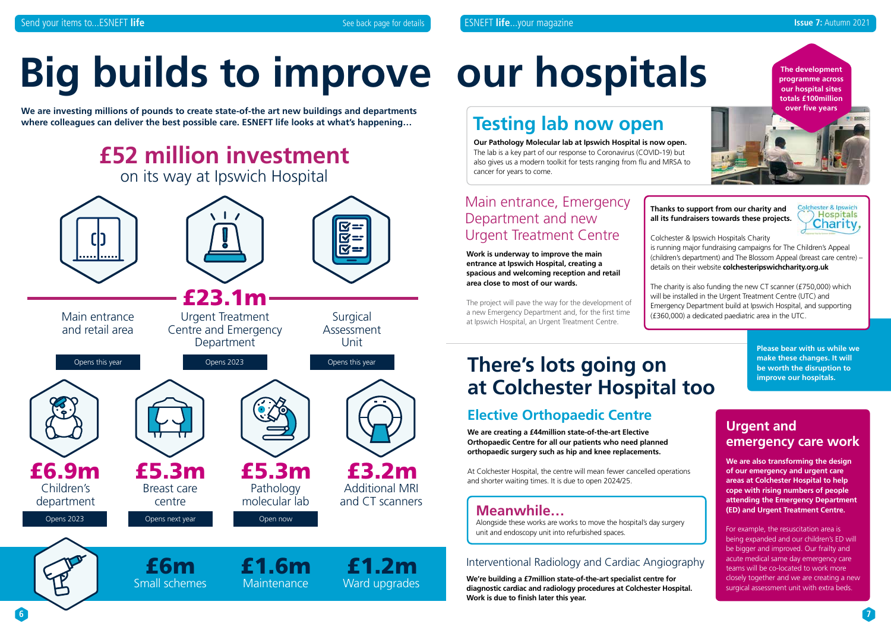**6 7**



# **Big builds to improve our hospitals**

**We are investing millions of pounds to create state-of-the art new buildings and departments where colleagues can deliver the best possible care. ESNEFT life looks at what's happening…**



## **Testing lab now open**

At Colchester Hospital, the centre will mean fewer cancelled operations and shorter waiting times. It is due to open 2024/25.

**Our Pathology Molecular lab at Ipswich Hospital is now open.** The lab is a key part of our response to Coronavirus (COVID-19) but also gives us a modern toolkit for tests ranging from flu and MRSA to cancer for years to come.

#### Main entrance, Emergency Department and new Urgent Treatment Centre

**Work is underway to improve the main entrance at Ipswich Hospital, creating a spacious and welcoming reception and retail area close to most of our wards.**

The project will pave the way for the development of a new Emergency Department and, for the first time at Ipswich Hospital, an Urgent Treatment Centre.

## **There's lots going on at Colchester Hospital too**

### **Elective Orthopaedic Centre**

**We are creating a £44million state-of-the-art Elective Orthopaedic Centre for all our patients who need planned orthopaedic surgery such as hip and knee replacements.**

#### **Urgent and emergency care work**

**We are also transforming the design of our emergency and urgent care areas at Colchester Hospital to help cope with rising numbers of people attending the Emergency Department (ED) and Urgent Treatment Centre.**

For example, the resuscitation area is being expanded and our children's ED will be bigger and improved. Our frailty and acute medical same day emergency care teams will be co-located to work more closely together and we are creating a new surgical assessment unit with extra beds.

#### Interventional Radiology and Cardiac Angiography

**We're building a £7million state-of-the-art specialist centre for diagnostic cardiac and radiology procedures at Colchester Hospital. Work is due to finish later this year.**

**The development programme across our hospital sites totals £100million over five years**

**Please bear with us while we make these changes. It will be worth the disruption to improve our hospitals.**

| ations |
|--------|
|--------|

#### **Thanks to support from our charity and all its fundraisers towards these projects.**



Colchester & Ipswich Hospitals Charity is running major fundraising campaigns for The Children's Appeal (children's department) and The Blossom Appeal (breast care centre) – details on their website **colchesteripswichcharity.org.uk**

The charity is also funding the new CT scanner (£750,000) which will be installed in the Urgent Treatment Centre (UTC) and Emergency Department build at Ipswich Hospital, and supporting (£360,000) a dedicated paediatric area in the UTC.

#### **Meanwhile…**

Alongside these works are works to move the hospital's day surgery unit and endoscopy unit into refurbished spaces.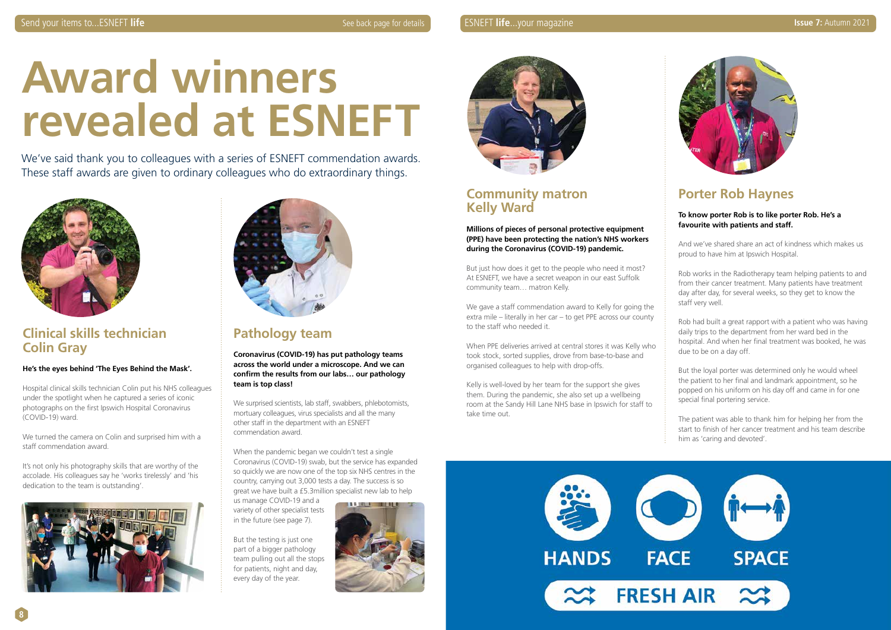

# **Award winners revealed at ESNEFT**

We've said thank you to colleagues with a series of ESNEFT commendation awards. These staff awards are given to ordinary colleagues who do extraordinary things.



#### **Clinical skills technician Colin Gray**

#### **He's the eyes behind 'The Eyes Behind the Mask'.**

Hospital clinical skills technician Colin put his NHS colleagues under the spotlight when he captured a series of iconic photographs on the first Ipswich Hospital Coronavirus (COVID-19) ward.

We turned the camera on Colin and surprised him with a staff commendation award.

It's not only his photography skills that are worthy of the accolade. His colleagues say he 'works tirelessly' and 'his dedication to the team is outstanding'.





#### **Community matron Kelly Ward**

**Millions of pieces of personal protective equipment (PPE) have been protecting the nation's NHS workers during the Coronavirus (COVID-19) pandemic.** 

But just how does it get to the people who need it most? At ESNEFT, we have a secret weapon in our east Suffolk community team… matron Kelly.

We gave a staff commendation award to Kelly for going the extra mile – literally in her car – to get PPE across our county to the staff who needed it.

When PPE deliveries arrived at central stores it was Kelly who took stock, sorted supplies, drove from base-to-base and organised colleagues to help with drop-offs.

Kelly is well-loved by her team for the support she gives them. During the pandemic, she also set up a wellbeing room at the Sandy Hill Lane NHS base in Ipswich for staff to take time out.



#### **Pathology team**

**Coronavirus (COVID-19) has put pathology teams across the world under a microscope. And we can confirm the results from our labs… our pathology team is top class!** 

We surprised scientists, lab staff, swabbers, phlebotomists, mortuary colleagues, virus specialists and all the many other staff in the department with an ESNEFT commendation award.

When the pandemic began we couldn't test a single Coronavirus (COVID-19) swab, but the service has expanded so quickly we are now one of the top six NHS centres in the country, carrying out 3,000 tests a day. The success is so great we have built a £5.3million specialist new lab to help

us manage COVID-19 and a variety of other specialist tests in the future (see page 7).

But the testing is just one part of a bigger pathology team pulling out all the stops for patients, night and day, every day of the year.





#### **Porter Rob Haynes**

#### **To know porter Rob is to like porter Rob. He's a favourite with patients and staff.**

And we've shared share an act of kindness which makes us proud to have him at Ipswich Hospital.

Rob works in the Radiotherapy team helping patients to and from their cancer treatment. Many patients have treatment day after day, for several weeks, so they get to know the staff very well.

Rob had built a great rapport with a patient who was having daily trips to the department from her ward bed in the hospital. And when her final treatment was booked, he was due to be on a day off.

But the loyal porter was determined only he would wheel the patient to her final and landmark appointment, so he popped on his uniform on his day off and came in for one special final portering service.

The patient was able to thank him for helping her from the start to finish of her cancer treatment and his team describe him as 'caring and devoted'.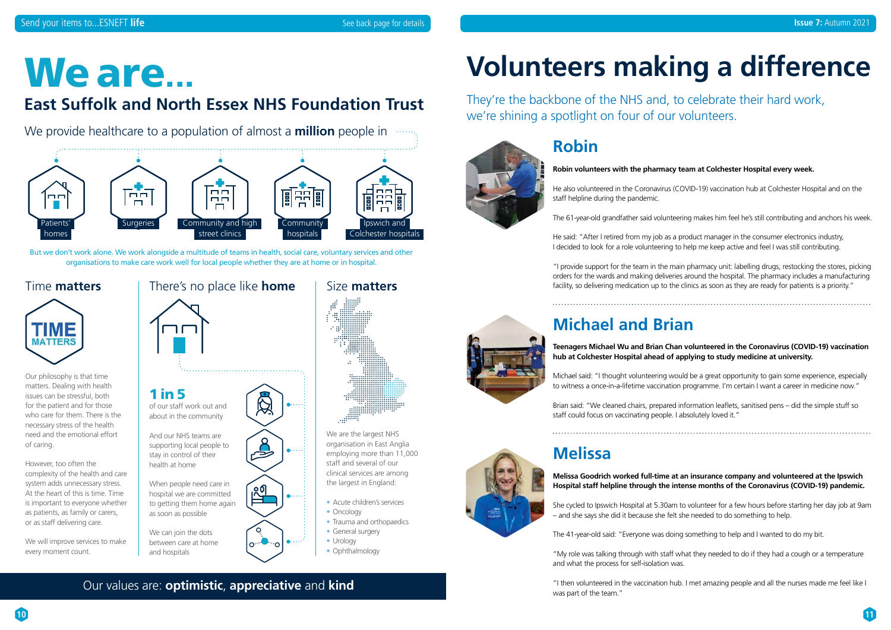**10**

### **Robin**

#### **Robin volunteers with the pharmacy team at Colchester Hospital every week.**

He also volunteered in the Coronavirus (COVID-19) vaccination hub at Colchester Hospital and on the staff helpline during the pandemic.

"I provide support for the team in the main pharmacy unit: labelling drugs, restocking the stores, picking orders for the wards and making deliveries around the hospital. The pharmacy includes a manufacturing facility, so delivering medication up to the clinics as soon as they are ready for patients is a priority."

The 61-year-old grandfather said volunteering makes him feel he's still contributing and anchors his week.

He said: "After I retired from my job as a product manager in the consumer electronics industry, I decided to look for a role volunteering to help me keep active and feel I was still contributing.

## **Michael and Brian**

#### **Teenagers Michael Wu and Brian Chan volunteered in the Coronavirus (COVID-19) vaccination hub at Colchester Hospital ahead of applying to study medicine at university.**

Michael said: "I thought volunteering would be a great opportunity to gain some experience, especially to witness a once-in-a-lifetime vaccination programme. I'm certain I want a career in medicine now."

Brian said: "We cleaned chairs, prepared information leaflets, sanitised pens – did the simple stuff so staff could focus on vaccinating people. I absolutely loved it."

- Acute children's services
- Oncology
- Trauma and orthopaedics
- General surgery • Urology
- Ophthalmology

# We are ... **Volunteers making a difference**

## **Melissa**

#### **Melissa Goodrich worked full-time at an insurance company and volunteered at the Ipswich Hospital staff helpline through the intense months of the Coronavirus (COVID-19) pandemic.**

She cycled to Ipswich Hospital at 5.30am to volunteer for a few hours before starting her day job at 9am – and she says she did it because she felt she needed to do something to help.

The 41-year-old said: "Everyone was doing something to help and I wanted to do my bit.

"My role was talking through with staff what they needed to do if they had a cough or a temperature and what the process for self-isolation was.

"I then volunteered in the vaccination hub. I met amazing people and all the nurses made me feel like I

### **C** Our values are: **optimistic, appreciative** and **kind and the team.** Then volunteered in

They're the backbone of the NHS and, to celebrate their hard work, we're shining a spotlight on four of our volunteers.



## **East Suffolk and North Essex NHS Foundation Trust**

We provide healthcare to a population of almost a **million** people in  $\cdots$ 

## Size **matters**



We are the largest NHS organisation in East Anglia employing more than 11,000 staff and several of our clinical services are among the largest in England:



### There's no place like **home**



#### Time **matters**



Our philosophy is that time matters. Dealing with health issues can be stressful, both for the patient and for those who care for them. There is the necessary stress of the health need and the emotional effort of caring.

However, too often the complexity of the health and care system adds unnecessary stress. At the heart of this is time. Time is important to everyone whether as patients, as family or carers, or as staff delivering care.

We will improve services to make every moment count.

But we don't work alone. We work alongside a multitude of teams in health, social care, voluntary services and other organisations to make care work well for local people whether they are at home or in hospital.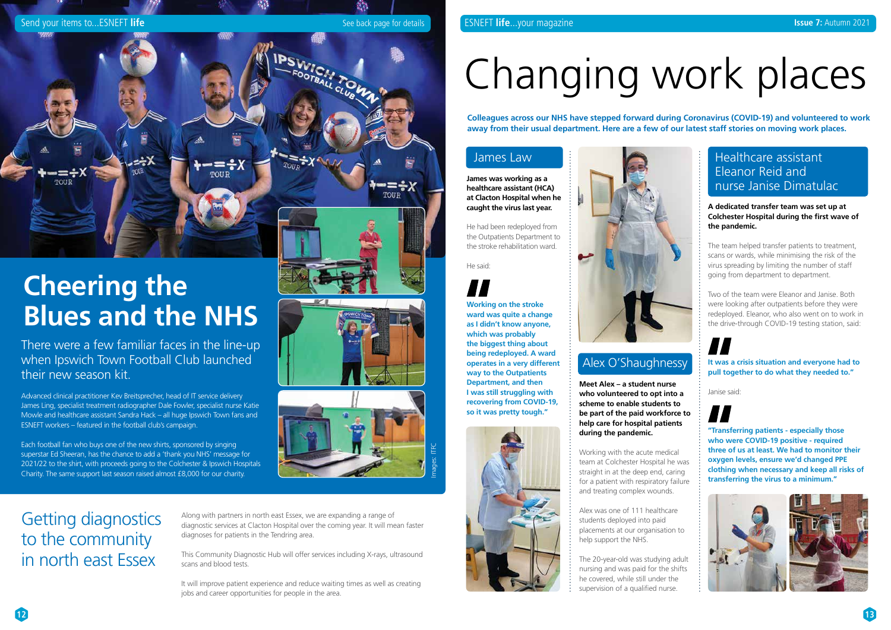

#### ESNEFT **life**...your magazine **Issue 7:** Autumn 2021

# Changing work places

**Colleagues across our NHS have stepped forward during Coronavirus (COVID-19) and volunteered to work away from their usual department. Here are a few of our latest staff stories on moving work places.**

#### Healthcare assistant Eleanor Reid and nurse Janise Dimatulac

**A dedicated transfer team was set up at Colchester Hospital during the first wave of the pandemic.**

The team helped transfer patients to treatment, scans or wards, while minimising the risk of the virus spreading by limiting the number of staff going from department to department.

Two of the team were Eleanor and Janise. Both were looking after outpatients before they were redeployed. Eleanor, who also went on to work in the drive-through COVID-19 testing station, said:

**It was a crisis situation and everyone had to pull together to do what they needed to."**

Janise said:

**"Transferring patients - especially those who were COVID-19 positive - required three of us at least. We had to monitor their oxygen levels, ensure we'd changed PPE clothing when necessary and keep all risks of transferring the virus to a minimum."**





#### James Law

**James was working as a healthcare assistant (HCA) at Clacton Hospital when he caught the virus last year.** 

He had been redeployed from the Outpatients Department to the stroke rehabilitation ward.

#### He said:

**Working on the stroke ward was quite a change as I didn't know anyone, which was probably the biggest thing about being redeployed. A ward operates in a very different way to the Outpatients Department, and then I was still struggling with recovering from COVID-19, so it was pretty tough."**





There were a few familiar faces in the line-up when Ipswich Town Football Club launched their new season kit.

Advanced clinical practitioner Kev Breitsprecher, head of IT service delivery James Ling, specialist treatment radiographer Dale Fowler, specialist nurse Katie Mowle and healthcare assistant Sandra Hack – all huge Ipswich Town fans and ESNEFT workers – featured in the football club's campaign.

Each football fan who buys one of the new shirts, sponsored by singing superstar Ed Sheeran, has the chance to add a 'thank you NHS' message for 2021/22 to the shirt, with proceeds going to the Colchester & Ipswich Hospitals Charity. The same support last season raised almost £8,000 for our charity.



Send your items to...ESNEFT life See back page for details



## **Cheering the Blues and the NHS**

Along with partners in north east Essex, we are expanding a range of diagnostic services at Clacton Hospital over the coming year. It will mean faster diagnoses for patients in the Tendring area.

This Community Diagnostic Hub will offer services including X-rays, ultrasound scans and blood tests.

It will improve patient experience and reduce waiting times as well as creating jobs and career opportunities for people in the area.

## Getting diagnostics to the community in north east Essex

#### Alex O'Shaughnessy

**Meet Alex – a student nurse who volunteered to opt into a scheme to enable students to be part of the paid workforce to help care for hospital patients during the pandemic.**

Working with the acute medical team at Colchester Hospital he was straight in at the deep end, caring for a patient with respiratory failure and treating complex wounds.

Alex was one of 111 healthcare students deployed into paid placements at our organisation to help support the NHS.

The 20-year-old was studying adult nursing and was paid for the shifts he covered, while still under the supervision of a qualified nurse.

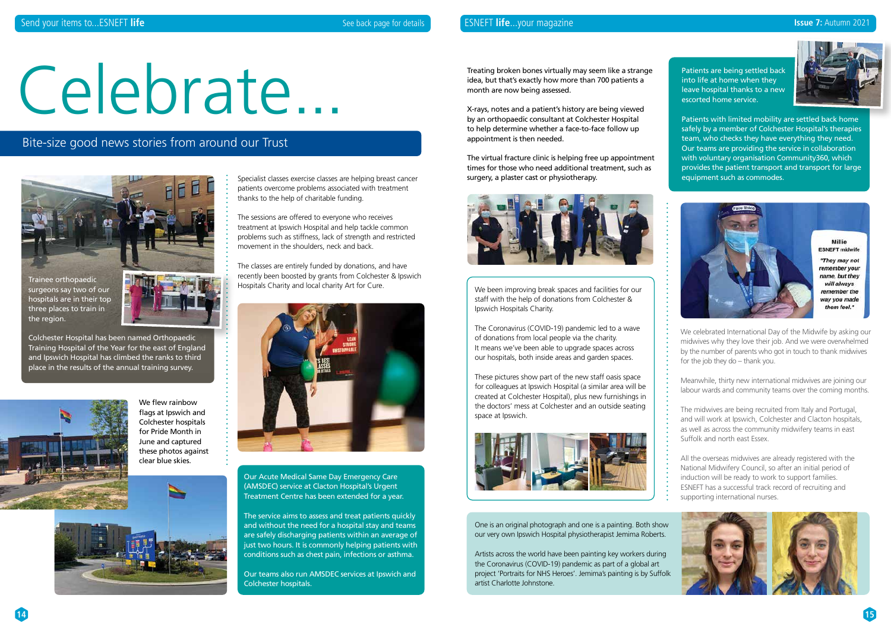Specialist classes exercise classes are helping breast cancer patients overcome problems associated with treatment thanks to the help of charitable funding.

The sessions are offered to everyone who receives treatment at Ipswich Hospital and help tackle common problems such as stiffness, lack of strength and restricted movement in the shoulders, neck and back.

The classes are entirely funded by donations, and have recently been boosted by grants from Colchester & Ipswich Hospitals Charity and local charity Art for Cure.



Our Acute Medical Same Day Emergency Care (AMSDEC) service at Clacton Hospital's Urgent Treatment Centre has been extended for a year.

The service aims to assess and treat patients quickly and without the need for a hospital stay and teams are safely discharging patients within an average of just two hours. It is commonly helping patients with conditions such as chest pain, infections or asthma.

The virtual fracture clinic is helping free up appointment times for those who need additional treatment, such as surgery, a plaster cast or physiotherapy.



Our teams also run AMSDEC services at Ipswich and Colchester hospitals.

# Celebrate...

#### Bite-size good news stories from around our Trust

We flew rainbow flags at Ipswich and Colchester hospitals for Pride Month in June and captured these photos against clear blue skies.



One is an original photograph and one is a painting. Both show our very own Ipswich Hospital physiotherapist Jemima Roberts.

Artists across the world have been painting key workers during the Coronavirus (COVID-19) pandemic as part of a global art project 'Portraits for NHS Heroes'. Jemima's painting is by Suffolk artist Charlotte Johnstone.

Treating broken bones virtually may seem like a strange idea, but that's exactly how more than 700 patients a month are now being assessed.

X-rays, notes and a patient's history are being viewed by an orthopaedic consultant at Colchester Hospital to help determine whether a face-to-face follow up appointment is then needed.

Patients are being settled back into life at home when they leave hospital thanks to a new escorted home service.



Patients with limited mobility are settled back home safely by a member of Colchester Hospital's therapies team, who checks they have everything they need. Our teams are providing the service in collaboration with voluntary organisation Community360, which provides the patient transport and transport for large equipment such as commodes.





Trainee orthopaedic surgeons say two of our hospitals are in their top three places to train in the region.



Colchester Hospital has been named Orthopaedic Training Hospital of the Year for the east of England and Ipswich Hospital has climbed the ranks to third place in the results of the annual training survey.



We celebrated International Day of the Midwife by asking our midwives why they love their job. And we were overwhelmed by the number of parents who got in touch to thank midwives for the job they do – thank you.

Meanwhile, thirty new international midwives are joining our labour wards and community teams over the coming months.

The midwives are being recruited from Italy and Portugal, and will work at Ipswich, Colchester and Clacton hospitals, as well as across the community midwifery teams in east Suffolk and north east Essex.

All the overseas midwives are already registered with the National Midwifery Council, so after an initial period of induction will be ready to work to support families. ESNEFT has a successful track record of recruiting and supporting international nurses.



We been improving break spaces and facilities for our staff with the help of donations from Colchester & Ipswich Hospitals Charity.

The Coronavirus (COVID-19) pandemic led to a wave of donations from local people via the charity. It means we've been able to upgrade spaces across our hospitals, both inside areas and garden spaces.

These pictures show part of the new staff oasis space for colleagues at Ipswich Hospital (a similar area will be created at Colchester Hospital), plus new furnishings in the doctors' mess at Colchester and an outside seating space at Ipswich.